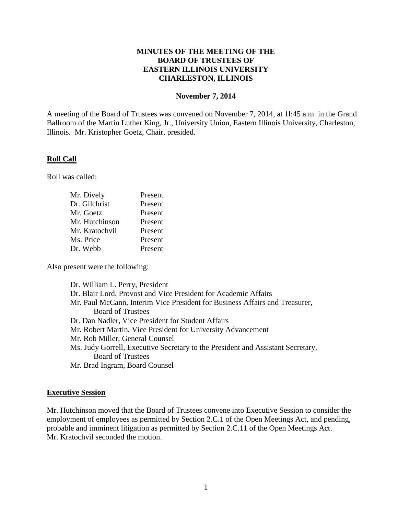## **MINUTES OF THE MEETING OF THE BOARD OF TRUSTEES OF EASTERN ILLINOIS UNIVERSITY CHARLESTON, ILLINOIS**

#### **November 7, 2014**

A meeting of the Board of Trustees was convened on November 7, 2014, at 1l:45 a.m. in the Grand Ballroom of the Martin Luther King, Jr., University Union, Eastern Illinois University, Charleston, Illinois. Mr. Kristopher Goetz, Chair, presided.

### **Roll Call**

Roll was called:

| Mr. Dively     | Present |
|----------------|---------|
| Dr. Gilchrist  | Present |
| Mr. Goetz      | Present |
| Mr. Hutchinson | Present |
| Mr. Kratochvil | Present |
| Ms. Price      | Present |
| Dr. Webb       | Present |

Also present were the following:

Dr. William L. Perry, President Dr. Blair Lord, Provost and Vice President for Academic Affairs Mr. Paul McCann, Interim Vice President for Business Affairs and Treasurer, Board of Trustees Dr. Dan Nadler, Vice President for Student Affairs Mr. Robert Martin, Vice President for University Advancement Mr. Rob Miller, General Counsel Ms. Judy Gorrell, Executive Secretary to the President and Assistant Secretary, Board of Trustees Mr. Brad Ingram, Board Counsel

# **Executive Session**

Mr. Hutchinson moved that the Board of Trustees convene into Executive Session to consider the employment of employees as permitted by Section 2.C.1 of the Open Meetings Act, and pending, probable and imminent litigation as permitted by Section 2.C.11 of the Open Meetings Act. Mr. Kratochvil seconded the motion.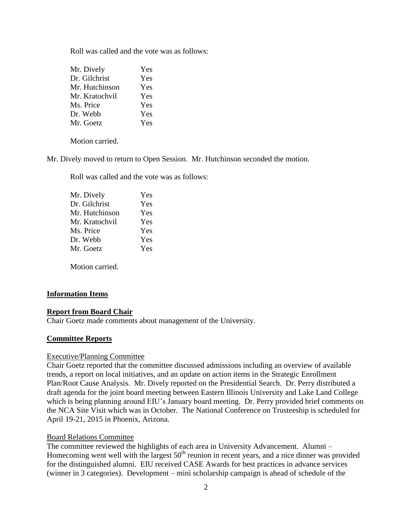Roll was called and the vote was as follows:

| Mr. Dively     | Yes |
|----------------|-----|
| Dr. Gilchrist  | Yes |
| Mr. Hutchinson | Yes |
| Mr. Kratochvil | Yes |
| Ms. Price      | Yes |
| Dr. Webb       | Yes |
| Mr. Goetz      | Yes |
|                |     |

Motion carried.

Mr. Dively moved to return to Open Session. Mr. Hutchinson seconded the motion.

Roll was called and the vote was as follows:

| Mr. Dively     | Yes |
|----------------|-----|
| Dr. Gilchrist  | Yes |
| Mr. Hutchinson | Yes |
| Mr. Kratochvil | Yes |
| Ms. Price      | Yes |
| Dr. Webb       | Yes |
| Mr. Goetz      | Yes |
|                |     |

Motion carried.

### **Information Items**

### **Report from Board Chair**

Chair Goetz made comments about management of the University.

### **Committee Reports**

#### Executive/Planning Committee

Chair Goetz reported that the committee discussed admissions including an overview of available trends, a report on local initiatives, and an update on action items in the Strategic Enrollment Plan/Root Cause Analysis. Mr. Dively reported on the Presidential Search. Dr. Perry distributed a draft agenda for the joint board meeting between Eastern Illinois University and Lake Land College which is being planning around EIU's January board meeting. Dr. Perry provided brief comments on the NCA Site Visit which was in October. The National Conference on Trusteeship is scheduled for April 19-21, 2015 in Phoenix, Arizona.

### Board Relations Committee

The committee reviewed the highlights of each area in University Advancement. Alumni – Homecoming went well with the largest  $50<sup>th</sup>$  reunion in recent years, and a nice dinner was provided for the distinguished alumni. EIU received CASE Awards for best practices in advance services (winner in 3 categories). Development – mini scholarship campaign is ahead of schedule of the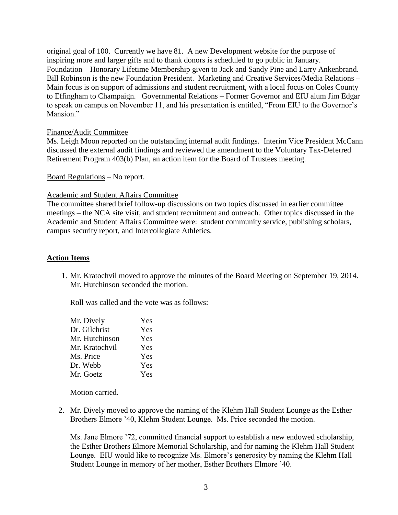original goal of 100. Currently we have 81. A new Development website for the purpose of inspiring more and larger gifts and to thank donors is scheduled to go public in January. Foundation – Honorary Lifetime Membership given to Jack and Sandy Pine and Larry Ankenbrand. Bill Robinson is the new Foundation President. Marketing and Creative Services/Media Relations – Main focus is on support of admissions and student recruitment, with a local focus on Coles County to Effingham to Champaign. Governmental Relations – Former Governor and EIU alum Jim Edgar to speak on campus on November 11, and his presentation is entitled, "From EIU to the Governor's Mansion."

### Finance/Audit Committee

Ms. Leigh Moon reported on the outstanding internal audit findings. Interim Vice President McCann discussed the external audit findings and reviewed the amendment to the Voluntary Tax-Deferred Retirement Program 403(b) Plan, an action item for the Board of Trustees meeting.

Board Regulations – No report.

#### Academic and Student Affairs Committee

The committee shared brief follow-up discussions on two topics discussed in earlier committee meetings – the NCA site visit, and student recruitment and outreach. Other topics discussed in the Academic and Student Affairs Committee were: student community service, publishing scholars, campus security report, and Intercollegiate Athletics.

### **Action Items**

1. Mr. Kratochvil moved to approve the minutes of the Board Meeting on September 19, 2014. Mr. Hutchinson seconded the motion.

Roll was called and the vote was as follows:

| Mr. Dively     | Yes |
|----------------|-----|
| Dr. Gilchrist  | Yes |
| Mr. Hutchinson | Yes |
| Mr. Kratochvil | Yes |
| Ms. Price      | Yes |
| Dr. Webb       | Yes |
| Mr. Goetz      | Yes |

Motion carried.

2. Mr. Dively moved to approve the naming of the Klehm Hall Student Lounge as the Esther Brothers Elmore '40, Klehm Student Lounge. Ms. Price seconded the motion.

Ms. Jane Elmore '72, committed financial support to establish a new endowed scholarship, the Esther Brothers Elmore Memorial Scholarship, and for naming the Klehm Hall Student Lounge. EIU would like to recognize Ms. Elmore's generosity by naming the Klehm Hall Student Lounge in memory of her mother, Esther Brothers Elmore '40.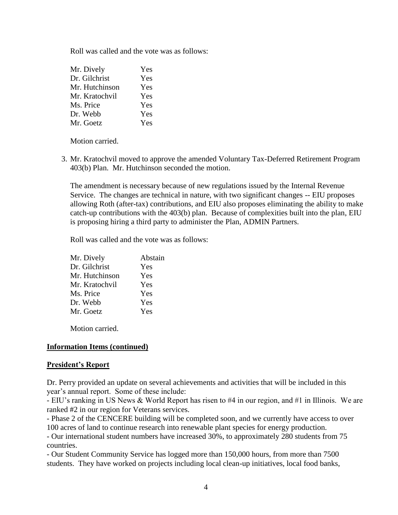Roll was called and the vote was as follows:

| Yes |
|-----|
| Yes |
| Yes |
| Yes |
| Yes |
| Yes |
| Yes |
|     |

Motion carried.

3. Mr. Kratochvil moved to approve the amended Voluntary Tax-Deferred Retirement Program 403(b) Plan. Mr. Hutchinson seconded the motion.

The amendment is necessary because of new regulations issued by the Internal Revenue Service. The changes are technical in nature, with two significant changes -- EIU proposes allowing Roth (after-tax) contributions, and EIU also proposes eliminating the ability to make catch-up contributions with the 403(b) plan. Because of complexities built into the plan, EIU is proposing hiring a third party to administer the Plan, ADMIN Partners.

Roll was called and the vote was as follows:

| Mr. Dively     | Abstain |
|----------------|---------|
| Dr. Gilchrist  | Yes     |
| Mr. Hutchinson | Yes     |
| Mr. Kratochvil | Yes     |
| Ms. Price      | Yes     |
| Dr. Webb       | Yes     |
| Mr. Goetz      | Yes     |

Motion carried.

### **Information Items (continued)**

### **President's Report**

Dr. Perry provided an update on several achievements and activities that will be included in this year's annual report. Some of these include:

- EIU's ranking in US News & World Report has risen to #4 in our region, and #1 in Illinois. We are ranked #2 in our region for Veterans services.

- Phase 2 of the CENCERE building will be completed soon, and we currently have access to over 100 acres of land to continue research into renewable plant species for energy production.

- Our international student numbers have increased 30%, to approximately 280 students from 75 countries.

- Our Student Community Service has logged more than 150,000 hours, from more than 7500 students. They have worked on projects including local clean-up initiatives, local food banks,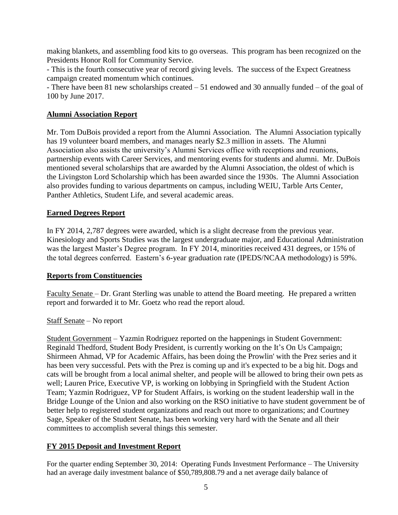making blankets, and assembling food kits to go overseas. This program has been recognized on the Presidents Honor Roll for Community Service.

- This is the fourth consecutive year of record giving levels. The success of the Expect Greatness campaign created momentum which continues.

- There have been 81 new scholarships created – 51 endowed and 30 annually funded – of the goal of 100 by June 2017.

# **Alumni Association Report**

Mr. Tom DuBois provided a report from the Alumni Association. The Alumni Association typically has 19 volunteer board members, and manages nearly \$2.3 million in assets. The Alumni Association also assists the university's Alumni Services office with receptions and reunions, partnership events with Career Services, and mentoring events for students and alumni. Mr. DuBois mentioned several scholarships that are awarded by the Alumni Association, the oldest of which is the Livingston Lord Scholarship which has been awarded since the 1930s. The Alumni Association also provides funding to various departments on campus, including WEIU, Tarble Arts Center, Panther Athletics, Student Life, and several academic areas.

## **Earned Degrees Report**

In FY 2014, 2,787 degrees were awarded, which is a slight decrease from the previous year. Kinesiology and Sports Studies was the largest undergraduate major, and Educational Administration was the largest Master's Degree program. In FY 2014, minorities received 431 degrees, or 15% of the total degrees conferred. Eastern's 6-year graduation rate (IPEDS/NCAA methodology) is 59%.

### **Reports from Constituencies**

Faculty Senate – Dr. Grant Sterling was unable to attend the Board meeting. He prepared a written report and forwarded it to Mr. Goetz who read the report aloud.

### Staff Senate – No report

Student Government – Yazmin Rodriguez reported on the happenings in Student Government: Reginald Thedford, Student Body President, is currently working on the It's On Us Campaign; Shirmeen Ahmad, VP for Academic Affairs, has been doing the Prowlin' with the Prez series and it has been very successful. Pets with the Prez is coming up and it's expected to be a big hit. Dogs and cats will be brought from a local animal shelter, and people will be allowed to bring their own pets as well; Lauren Price, Executive VP, is working on lobbying in Springfield with the Student Action Team; Yazmin Rodriguez, VP for Student Affairs, is working on the student leadership wall in the Bridge Lounge of the Union and also working on the RSO initiative to have student government be of better help to registered student organizations and reach out more to organizations; and Courtney Sage, Speaker of the Student Senate, has been working very hard with the Senate and all their committees to accomplish several things this semester.

### **FY 2015 Deposit and Investment Report**

For the quarter ending September 30, 2014: Operating Funds Investment Performance – The University had an average daily investment balance of \$50,789,808.79 and a net average daily balance of